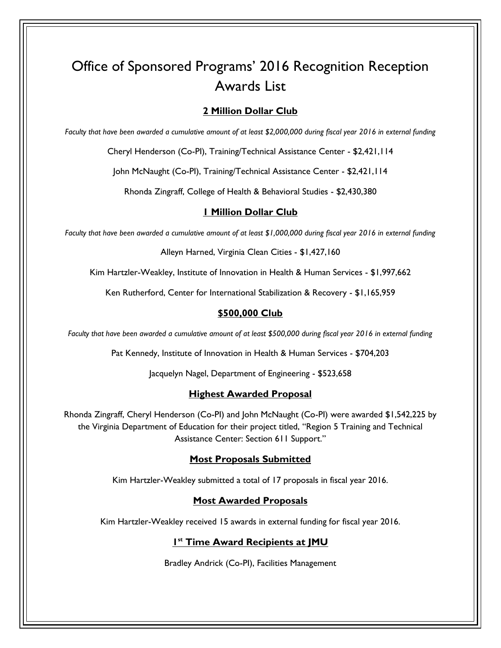# Office of Sponsored Programs' 2016 Recognition Reception Awards List

# **2 Million Dollar Club**

*Faculty that have been awarded a cumulative amount of at least \$2,000,000 during fiscal year 2016 in external funding* 

Cheryl Henderson (Co-PI), Training/Technical Assistance Center - \$2,421,114

John McNaught (Co-PI), Training/Technical Assistance Center - \$2,421,114

Rhonda Zingraff, College of Health & Behavioral Studies - \$2,430,380

# **1 Million Dollar Club**

*Faculty that have been awarded a cumulative amount of at least \$1,000,000 during fiscal year 2016 in external funding* 

Alleyn Harned, Virginia Clean Cities - \$1,427,160

Kim Hartzler-Weakley, Institute of Innovation in Health & Human Services - \$1,997,662

Ken Rutherford, Center for International Stabilization & Recovery - \$1,165,959

# **\$500,000 Club**

*Faculty that have been awarded a cumulative amount of at least \$500,000 during fiscal year 2016 in external funding* 

Pat Kennedy, Institute of Innovation in Health & Human Services - \$704,203

Jacquelyn Nagel, Department of Engineering - \$523,658

# **Highest Awarded Proposal**

Rhonda Zingraff, Cheryl Henderson (Co-PI) and John McNaught (Co-PI) were awarded \$1,542,225 by the Virginia Department of Education for their project titled, "Region 5 Training and Technical Assistance Center: Section 611 Support."

# **Most Proposals Submitted**

Kim Hartzler-Weakley submitted a total of 17 proposals in fiscal year 2016.

# **Most Awarded Proposals**

Kim Hartzler-Weakley received 15 awards in external funding for fiscal year 2016.

# **1 st Time Award Recipients at JMU**

Bradley Andrick (Co-PI), Facilities Management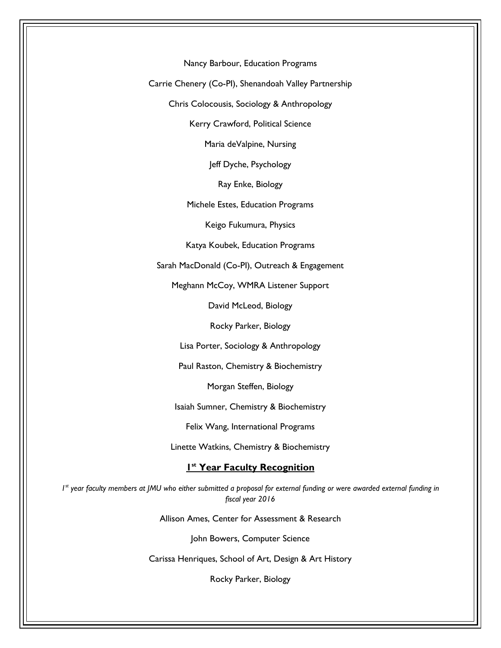Nancy Barbour, Education Programs

Carrie Chenery (Co-PI), Shenandoah Valley Partnership

Chris Colocousis, Sociology & Anthropology

Kerry Crawford, Political Science

Maria deValpine, Nursing

Jeff Dyche, Psychology

Ray Enke, Biology

Michele Estes, Education Programs

Keigo Fukumura, Physics

Katya Koubek, Education Programs

Sarah MacDonald (Co-PI), Outreach & Engagement

Meghann McCoy, WMRA Listener Support

David McLeod, Biology

Rocky Parker, Biology

Lisa Porter, Sociology & Anthropology

Paul Raston, Chemistry & Biochemistry

Morgan Steffen, Biology

Isaiah Sumner, Chemistry & Biochemistry

Felix Wang, International Programs

Linette Watkins, Chemistry & Biochemistry

## **1 st Year Faculty Recognition**

*1*<sup>st</sup> year faculty members at JMU who either submitted a proposal for external funding or were awarded external funding in *fiscal year 2016* 

Allison Ames, Center for Assessment & Research

John Bowers, Computer Science

Carissa Henriques, School of Art, Design & Art History

Rocky Parker, Biology